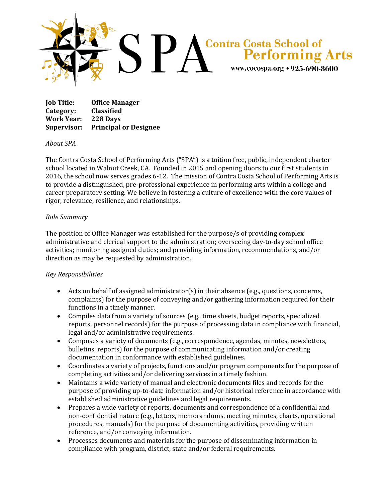

**Job Title: Office Manager Category: Classified Work Year: 228 Days Supervisor: Principal or Designee**

## *About SPA*

The Contra Costa School of Performing Arts ("SPA") is a tuition free, public, independent charter school located in Walnut Creek, CA. Founded in 2015 and opening doors to our first students in 2016, the school now serves grades 6-12. The mission of Contra Costa School of Performing Arts is to provide a distinguished, pre-professional experience in performing arts within a college and career preparatory setting. We believe in fostering a culture of excellence with the core values of rigor, relevance, resilience, and relationships.

## *Role Summary*

The position of Office Manager was established for the purpose/s of providing complex administrative and clerical support to the administration; overseeing day-to-day school office activities; monitoring assigned duties; and providing information, recommendations, and/or direction as may be requested by administration.

## *Key Responsibilities*

- Acts on behalf of assigned administrator(s) in their absence (e.g., questions, concerns, complaints) for the purpose of conveying and/or gathering information required for their functions in a timely manner.
- Compiles data from a variety of sources (e.g., time sheets, budget reports, specialized reports, personnel records) for the purpose of processing data in compliance with financial, legal and/or administrative requirements.
- Composes a variety of documents (e.g., correspondence, agendas, minutes, newsletters, bulletins, reports) for the purpose of communicating information and/or creating documentation in conformance with established guidelines.
- Coordinates a variety of projects, functions and/or program components for the purpose of completing activities and/or delivering services in a timely fashion.
- Maintains a wide variety of manual and electronic documents files and records for the purpose of providing up-to-date information and/or historical reference in accordance with established administrative guidelines and legal requirements.
- Prepares a wide variety of reports, documents and correspondence of a confidential and non-confidential nature (e.g., letters, memorandums, meeting minutes, charts, operational procedures, manuals) for the purpose of documenting activities, providing written reference, and/or conveying information.
- Processes documents and materials for the purpose of disseminating information in compliance with program, district, state and/or federal requirements.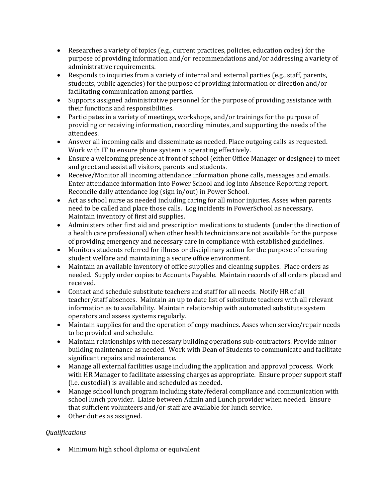- Researches a variety of topics (e.g., current practices, policies, education codes) for the purpose of providing information and/or recommendations and/or addressing a variety of administrative requirements.
- Responds to inquiries from a variety of internal and external parties (e.g., staff, parents, students, public agencies) for the purpose of providing information or direction and/or facilitating communication among parties.
- Supports assigned administrative personnel for the purpose of providing assistance with their functions and responsibilities.
- Participates in a variety of meetings, workshops, and/or trainings for the purpose of providing or receiving information, recording minutes, and supporting the needs of the attendees.
- Answer all incoming calls and disseminate as needed. Place outgoing calls as requested. Work with IT to ensure phone system is operating effectively.
- Ensure a welcoming presence at front of school (either Office Manager or designee) to meet and greet and assist all visitors, parents and students.
- Receive/Monitor all incoming attendance information phone calls, messages and emails. Enter attendance information into Power School and log into Absence Reporting report. Reconcile daily attendance log (sign in/out) in Power School.
- Act as school nurse as needed including caring for all minor injuries. Asses when parents need to be called and place those calls. Log incidents in PowerSchool as necessary. Maintain inventory of first aid supplies.
- Administers other first aid and prescription medications to students (under the direction of a health care professional) when other health technicians are not available for the purpose of providing emergency and necessary care in compliance with established guidelines.
- Monitors students referred for illness or disciplinary action for the purpose of ensuring student welfare and maintaining a secure office environment.
- Maintain an available inventory of office supplies and cleaning supplies. Place orders as needed. Supply order copies to Accounts Payable. Maintain records of all orders placed and received.
- Contact and schedule substitute teachers and staff for all needs. Notify HR of all teacher/staff absences. Maintain an up to date list of substitute teachers with all relevant information as to availability. Maintain relationship with automated substitute system operators and assess systems regularly.
- Maintain supplies for and the operation of copy machines. Asses when service/repair needs to be provided and schedule.
- Maintain relationships with necessary building operations sub-contractors. Provide minor building maintenance as needed. Work with Dean of Students to communicate and facilitate significant repairs and maintenance.
- Manage all external facilities usage including the application and approval process. Work with HR Manager to facilitate assessing charges as appropriate. Ensure proper support staff (i.e. custodial) is available and scheduled as needed.
- Manage school lunch program including state/federal compliance and communication with school lunch provider. Liaise between Admin and Lunch provider when needed. Ensure that sufficient volunteers and/or staff are available for lunch service.
- Other duties as assigned.

## *Qualifications*

• Minimum high school diploma or equivalent